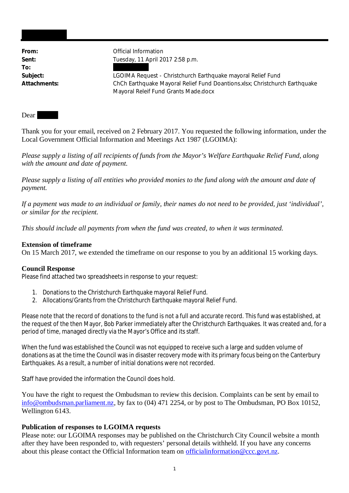**To:**

From: **From:** Official Information **Sent:** Tuesday, 11 April 2017 2:58 p.m.

**Subject:** LGOIMA Request - Christchurch Earthquake mayoral Relief Fund **Attachments:** ChCh Earthquake Mayoral Relief Fund Doantions.xlsx; Christchurch Earthquake Mayoral Releif Fund Grants Made.docx

Dear

Thank you for your email, received on 2 February 2017. You requested the following information, under the Local Government Official Information and Meetings Act 1987 (LGOIMA):

*Please supply a listing of all recipients of funds from the Mayor's Welfare Earthquake Relief Fund, along with the amount and date of payment.*

*Please supply a listing of all entities who provided monies to the fund along with the amount and date of payment.*

*If a payment was made to an individual or family, their names do not need to be provided, just 'individual', or similar for the recipient.*

*This should include all payments from when the fund was created, to when it was terminated.*

### **Extension of timeframe**

On 15 March 2017, we extended the timeframe on our response to you by an additional 15 working days.

### **Council Response**

Please find attached two spreadsheets in response to your request:

- 1. Donations to the Christchurch Earthquake mayoral Relief Fund.
- 2. Allocations/Grants from the Christchurch Earthquake mayoral Relief Fund.

Please note that the record of donations to the fund is not a full and accurate record. This fund was established, at the request of the then Mayor, Bob Parker immediately after the Christchurch Earthquakes. It was created and, for a period of time, managed directly via the Mayor's Office and its staff.

When the fund was established the Council was not equipped to receive such a large and sudden volume of donations as at the time the Council was in disaster recovery mode with its primary focus being on the Canterbury Earthquakes. As a result, a number of initial donations were not recorded.

Staff have provided the information the Council does hold.

You have the right to request the Ombudsman to review this decision. Complaints can be sent by email to info@ombudsman.parliament.nz, by fax to (04) 471 2254, or by post to The Ombudsman, PO Box 10152, Wellington 6143.

### **Publication of responses to LGOIMA requests**

Please note: our LGOIMA responses may be published on the Christchurch City Council website a month after they have been responded to, with requesters' personal details withheld. If you have any concerns about this please contact the Official Information team on officialinformation@ccc.govt.nz.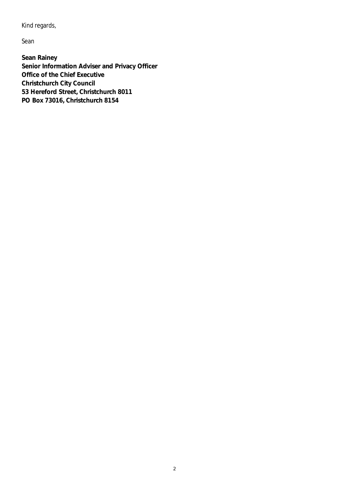Kind regards,

Sean

**Sean Rainey Senior Information Adviser and Privacy Officer Office of the Chief Executive Christchurch City Council 53 Hereford Street, Christchurch 8011 PO Box 73016, Christchurch 8154**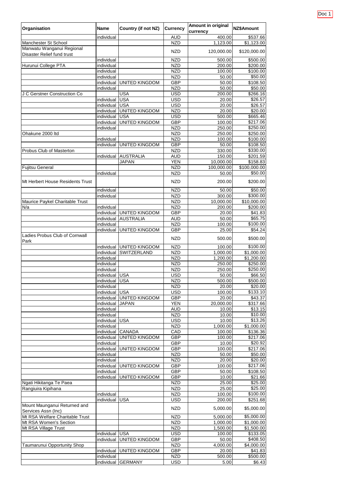| Organisation                                            | <b>Name</b>              | <b>Country (if not NZ)</b> | <b>Currency</b>          | <b>Amount in original</b><br>currency | NZ\$Amount              |
|---------------------------------------------------------|--------------------------|----------------------------|--------------------------|---------------------------------------|-------------------------|
|                                                         | individual               |                            | <b>AUD</b>               | 400.00                                | \$537.66                |
| <b>Manchester St School</b>                             |                          |                            | <b>NZD</b>               | 1,123.00                              | \$1,123.00              |
| Manwatu Wanganui Regional<br>Disaster Relief fund trust |                          |                            | <b>NZD</b>               | 120,000.00                            | \$120,000.00            |
|                                                         | individual               |                            | <b>NZD</b>               | 500.00                                | \$500.00                |
| Hurunui College PTA                                     | individual               |                            | <b>NZD</b>               | 200.00                                | \$200.00                |
|                                                         | individual<br>individual |                            | <b>NZD</b><br><b>NZD</b> | 100.00<br>50.00                       | \$100.00<br>\$50.00     |
|                                                         | individual               | <b>UNITED KINGDOM</b>      | <b>GBP</b>               | 50.00                                 | \$108.50                |
|                                                         | individual               |                            | <b>NZD</b>               | 50.00                                 | \$50.00                 |
| J C Gerstner Construction Co                            |                          | <b>USA</b>                 | <b>USD</b>               | 200.00                                | $\overline{$}266.16$    |
|                                                         | individual               | <b>USA</b>                 | <b>USD</b>               | 20.00                                 | \$26.57                 |
|                                                         | individual               | <b>USA</b>                 | <b>USD</b>               | 20.00                                 | \$26.57                 |
|                                                         | individual               | <b>UNITED KINGDOM</b>      | <b>NZD</b>               | 20.00                                 | \$20.00                 |
|                                                         | individual               | <b>USA</b>                 | <b>USD</b>               | 500.00                                | \$665.46                |
|                                                         | individual               | <b>UNITED KINGDOM</b>      | <b>GBP</b>               | 100.00<br>250.00                      | \$217.06<br>\$250.00    |
| Ohakune 2000 Itd                                        | individual               |                            | <b>NZD</b><br><b>NZD</b> | 250.00                                | \$250.00                |
|                                                         | individual               |                            | <b>NZD</b>               | 100.00                                | \$100.00                |
|                                                         | individual               | <b>UNITED KINGDOM</b>      | <b>GBP</b>               | 50.00                                 | \$108.50                |
| Probus Club of Masterton                                |                          |                            | <b>NZD</b>               | 330.00                                | \$330.00                |
|                                                         | individual               | <b>AUSTRALIA</b>           | <b>AUD</b>               | 150.00                                | \$201.59                |
|                                                         |                          | <b>JAPAN</b>               | <b>YEN</b>               | 10,000.00                             | \$158.83                |
| <b>Fujitsu General</b>                                  |                          |                            | <b>NZD</b>               | 100,000.00                            | \$100,000.00            |
|                                                         | individual               |                            | <b>NZD</b>               | 50.00                                 | \$50.00                 |
| Mt Herbert House Residents Trust                        |                          |                            | <b>NZD</b>               | 200.00                                | \$200.00                |
|                                                         | individual               |                            | <b>NZD</b>               | 50.00                                 | \$50.00                 |
|                                                         | individual               |                            | <b>NZD</b>               | 300.00                                | \$300.00                |
| Maurice Paykel Charitable Trust<br>N/a                  | individual               |                            | <b>NZD</b><br><b>NZD</b> | 10,000.00<br>200.00                   | \$10,000.00<br>\$200.00 |
|                                                         | individual               | <b>UNITED KINGDOM</b>      | <b>GBP</b>               | 20.00                                 | \$41.83                 |
|                                                         | individual               | <b>AUSTRALIA</b>           | <b>AUD</b>               | 50.00                                 | \$65.75                 |
|                                                         | individual               |                            | <b>NZD</b>               | 100.00                                | \$100.00                |
|                                                         | individual               | <b>UNITED KINGDOM</b>      | <b>GBP</b>               | 25.00                                 | \$54.24                 |
| Ladies Probus Club of Cornwall<br>Park                  |                          |                            | <b>NZD</b>               | 500.00                                | \$500.00                |
|                                                         | individual               | <b>UNITED KINGDOM</b>      | <b>NZD</b>               | 100.00                                | \$100.00                |
|                                                         | individual               | <b>SWITZERLAND</b>         | <b>NZD</b>               | 1,000.00                              | \$1,000.00              |
|                                                         | individual               |                            | <b>NZD</b>               | 1,200.00                              | \$1,200.00              |
|                                                         | individual<br>individual |                            | <b>NZD</b><br><b>NZD</b> | 250.00<br>250.00                      | \$250.00<br>\$250.00    |
|                                                         | individual               | <b>USA</b>                 | <b>USD</b>               | 50.00                                 | \$66.50                 |
|                                                         | individual               | <b>USA</b>                 | <b>NZD</b>               | 500.00                                | \$500.00                |
|                                                         | individual               |                            | <b>NZD</b>               | 20.00                                 | \$20.00                 |
|                                                         | individual               | <b>USA</b>                 | <b>USD</b>               | 100.00                                | \$133.10                |
|                                                         | individual               | UNITED KINGDOM             | <b>GBP</b>               | 20.00                                 | \$43.37                 |
|                                                         | individual               | <b>JAPAN</b>               | <b>YEN</b>               | 20,000.00                             | \$317.66                |
|                                                         | individual               |                            | <b>AUD</b>               | 10.00                                 | \$13.15                 |
|                                                         | individual<br>individual | <b>USA</b>                 | <b>NZD</b><br><b>USD</b> | 10.00<br>10.00                        | \$10.00<br>\$13.26      |
|                                                         | individual               |                            | <b>NZD</b>               | 1,000.00                              | \$1,000.00              |
|                                                         | individual               | <b>CANADA</b>              | CAD                      | 100.00                                | \$136.36                |
|                                                         | individual               | <b>UNITED KINGDOM</b>      | <b>GBP</b>               | 100.00                                | \$217.06                |
|                                                         | individual               |                            | <b>GBP</b>               | 10.00                                 | \$20.92                 |
|                                                         | individual               | <b>UNITED KINGDOM</b>      | <b>GBP</b>               | 100.00                                | \$217.06                |
|                                                         | individual               |                            | <b>NZD</b>               | 50.00                                 | \$50.00                 |
|                                                         | individual               |                            | <b>NZD</b>               | 20.00                                 | \$20.00                 |
|                                                         | individual<br>individual | <b>UNITED KINGDOM</b>      | <b>GBP</b><br><b>GBP</b> | 100.00<br>50.00                       | \$217.06<br>\$108.50    |
|                                                         | individual               | <b>UNITED KINGDOM</b>      | <b>GBP</b>               | 10.00                                 | \$21.66                 |
| Ngati Hikitanga Te Paea                                 |                          |                            | <b>NZD</b>               | 25.00                                 | \$25.00                 |
| Rangiuira Kipihana                                      |                          |                            | <b>NZD</b>               | 25.00                                 | \$25.00                 |
|                                                         | individual               |                            | <b>NZD</b>               | 100.00                                | \$100.00                |
| Mount Maunganui Returned and                            | individual               | <b>USA</b>                 | <b>USD</b><br><b>NZD</b> | 200.00<br>5,000.00                    | \$251.68<br>\$5,000.00  |
| Services Assn (Inc)                                     |                          |                            |                          |                                       |                         |
| Mt RSA Welfare Charitable Trust                         |                          |                            | <b>NZD</b>               | 5,000.00                              | \$5,000.00              |
| Mt RSA Women's Section                                  |                          |                            | <b>NZD</b>               | 1,000.00                              | \$1,000.00              |
| Mt RSA Village Trust                                    | individual               | <b>USA</b>                 | <b>NZD</b><br><b>USD</b> | 1,500.00<br>100.00                    | \$1,500.00<br>\$133.05  |
|                                                         | individual               | <b>UNITED KINGDOM</b>      | <b>GBP</b>               | 50.00                                 | \$408.50                |
| Taumarunui Opportunity Shop                             |                          |                            | <b>NZD</b>               | 4,000.00                              | \$4,000.00              |
|                                                         | individual               | <b>UNITED KINGDOM</b>      | <b>GBP</b>               | 20.00                                 | \$41.83                 |
|                                                         | individual               |                            | <b>NZD</b>               | 500.00                                | \$500.00                |
|                                                         |                          | individual GERMANY         | <b>USD</b>               | 5.00                                  | \$6.43                  |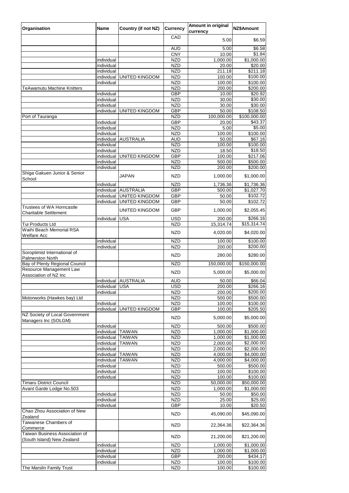| Organisation                                                 | <b>Name</b>              | <b>Country (if not NZ)</b> | <b>Currency</b>          | <b>Amount in original</b><br>currency | NZ\$Amount                          |
|--------------------------------------------------------------|--------------------------|----------------------------|--------------------------|---------------------------------------|-------------------------------------|
|                                                              |                          |                            | CAD                      | 5.00                                  | \$6.59                              |
|                                                              |                          |                            | <b>AUD</b>               | 5.00                                  | \$6.58                              |
|                                                              |                          |                            | <b>CNY</b>               | 10.00                                 | \$1.84                              |
|                                                              | individual               |                            | <b>NZD</b>               | 1,000.00                              | \$1,000.00                          |
|                                                              | individual               |                            | <b>NZD</b>               | 20.00                                 | \$20.00                             |
|                                                              | individual<br>individual | <b>UNITED KINGDOM</b>      | <b>NZD</b><br><b>NZD</b> | 211.18                                | \$211.18                            |
|                                                              | individual               |                            | <b>NZD</b>               | 100.00<br>100.00                      | \$100.00<br>\$100.00                |
| <b>TeAwamutu Machine Knitters</b>                            |                          |                            | <b>NZD</b>               | 200.00                                | \$200.00                            |
|                                                              | individual               |                            | <b>GBP</b>               | 10.00                                 | \$20.92                             |
|                                                              | individual               |                            | <b>NZD</b>               | 30.00                                 | \$30.00                             |
|                                                              | individual               |                            | <b>NZD</b>               | 30.00                                 | \$30.00                             |
|                                                              | individual               | <b>UNITED KINGDOM</b>      | <b>GBP</b>               | 50.00                                 | \$108.50                            |
| Port of Tauranga                                             | individual               |                            | <b>NZD</b><br><b>GBP</b> | 100,000.00<br>20.00                   | $\overline{$100,000.00}$<br>\$43.37 |
|                                                              | individual               |                            | <b>NZD</b>               | 5.00                                  | \$5.00                              |
|                                                              | individual               |                            | <b>NZD</b>               | 100.00                                | \$100.00                            |
|                                                              | individual               | <b>AUSTRALIA</b>           | <b>AUD</b>               | 50.00                                 | \$67.16                             |
|                                                              | individual               |                            | <b>NZD</b>               | 100.00                                | \$100.00                            |
|                                                              | individual               |                            | <b>NZD</b>               | 18.50                                 | \$18.50                             |
|                                                              | individual<br>individual | <b>UNITED KINGDOM</b>      | <b>GBP</b><br><b>NZD</b> | 100.00<br>500.00                      | \$217.06<br>\$500.00                |
|                                                              | individual               |                            | <b>NZD</b>               | 200.00                                | \$200.00                            |
| Shiga Gakuen Junior & Senior<br>School                       |                          | <b>JAPAN</b>               | <b>NZD</b>               | 1,000.00                              | \$1,000.00                          |
|                                                              | individual               |                            | <b>NZD</b>               | 1,736.36                              | \$1,736.36                          |
|                                                              | individual               | <b>AUSTRALIA</b>           | <b>GBP</b>               | 500.00                                | \$1,027.70                          |
|                                                              | individual               | <b>UNITED KINGDOM</b>      | <b>GBP</b>               | 50.00                                 | \$102.72                            |
| <b>Trustees of WA Horncastle</b>                             | individual               | <b>UNITED KINGDOM</b>      | <b>GBP</b>               | 50.00                                 | \$102.72                            |
| <b>Charitable Settlement</b>                                 |                          | <b>UNITED KINGDOM</b>      | <b>GBP</b>               | 1,000.00                              | \$2,055.45                          |
|                                                              | individual               | <b>USA</b>                 | <b>USD</b>               | 200.00                                | \$266.16                            |
| Tui Products Ltd<br><b>Waihi Beach Memorial RSA</b>          |                          |                            | <b>NZD</b><br><b>NZD</b> | 15,314.74<br>4,020.00                 | \$15,314.74<br>\$4,020.00           |
| <b>Welfare Acc</b>                                           | individual               |                            | <b>NZD</b>               | 100.00                                | \$100.00                            |
|                                                              | individual               |                            | <b>NZD</b>               | 200.00                                | \$200.00                            |
| Soroptimist International of<br><b>Palmerston North</b>      |                          |                            | <b>NZD</b>               | 280.00                                | \$280.00                            |
| Bay of Plenty Regional Council                               |                          |                            | <b>NZD</b>               | 150,000.00                            | \$150,000.00                        |
| Resource Management Law<br>Association of NZ Inc             |                          |                            | <b>NZD</b>               | 5,000.00                              | \$5,000.00                          |
|                                                              | individual               | <b>AUSTRALIA</b>           | <b>AUD</b>               | 50.00                                 | \$66.04                             |
|                                                              | individual               | <b>USA</b>                 | <b>USD</b>               | 200.00                                | \$266.16                            |
|                                                              | individual               |                            | <b>NZD</b>               | 200.00                                | \$200.00                            |
| Motorworks (Hawkes bay) Ltd                                  |                          |                            | <b>NZD</b>               | 500.00                                | \$500.00                            |
|                                                              | individual               |                            | <b>NZD</b>               | 100.00                                | \$100.00                            |
| NZ Society of Local Government                               | individual               | <b>UNITED KINGDOM</b>      | <b>GBP</b><br><b>NZD</b> | 100.00<br>5,000.00                    | \$205.50<br>\$5,000.00              |
| Managers Inc (SOLGM)                                         | individual               |                            | <b>NZD</b>               | 500.00                                | \$500.00                            |
|                                                              | individual               | <b>TAIWAN</b>              | <b>NZD</b>               | 1,000.00                              | \$1,000.00                          |
|                                                              | individual               | <b>TAIWAN</b>              | <b>NZD</b>               | 1,000.00                              | \$1,000.00                          |
|                                                              | individual               | <b>TAIWAN</b>              | <b>NZD</b>               | 2,000.00                              | \$2,000.00                          |
|                                                              | individual               |                            | <b>NZD</b>               | 2,000.00                              | \$2,000.00                          |
|                                                              | individual               | <b>TAIWAN</b>              | <b>NZD</b>               | 4,000.00                              | \$4,000.00                          |
|                                                              | individual<br>individual | <b>TAIWAN</b>              | <b>NZD</b><br><b>NZD</b> | 4,000.00<br>500.00                    | \$4,000.00<br>\$500.00              |
|                                                              | individual               |                            | <b>NZD</b>               | 100.00                                | \$100.00                            |
|                                                              | individual               |                            | <b>NZD</b>               | 100.00                                | \$100.00                            |
| <b>Timaru District Council</b>                               |                          |                            | <b>NZD</b>               | 50,000.00                             | \$50,000.00                         |
| Avant Garde Lodge No.503                                     |                          |                            | <b>NZD</b>               | 1,000.00                              | \$1,000.00                          |
|                                                              | individual               |                            | <b>NZD</b>               | 50.00                                 | \$50.00                             |
|                                                              | individual<br>individual |                            | <b>NZD</b><br><b>GBP</b> | 25.00<br>10.00                        | \$25.00<br>\$20.50                  |
| Chao Zhou Association of New<br>Zealand                      |                          |                            | <b>NZD</b>               | 45,090.00                             | \$45,090.00                         |
| Taiwanese Chambers of<br>Commerce                            |                          |                            | <b>NZD</b>               | 22,364.36                             | \$22,364.36                         |
| Taiwan Business Association of<br>(South Island) New Zealand |                          |                            | <b>NZD</b>               | 21,200.00                             | \$21,200.00                         |
|                                                              | individual               |                            | <b>NZD</b>               | 1,000.00                              | \$1,000.00                          |
|                                                              | individual               |                            | <b>NZD</b>               | 1,000.00                              | \$1,000.00                          |
|                                                              | individual               |                            | <b>GBP</b>               | 200.00                                | \$434.17                            |
| The Marslin Family Trust                                     | individual               |                            | <b>NZD</b><br><b>NZD</b> | 100.00<br>100.00                      | \$100.00<br>\$100.00]               |
|                                                              |                          |                            |                          |                                       |                                     |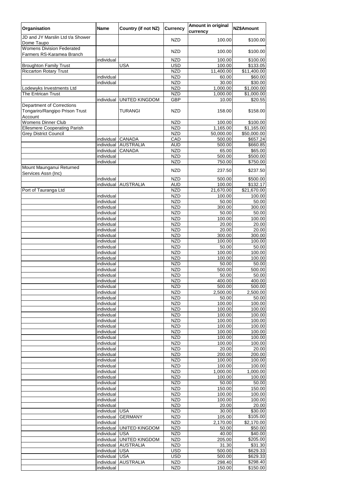| Organisation                                                  | <b>Name</b>              | <b>Country (if not NZ)</b> | <b>Currency</b>          | <b>Amount in original</b><br>currency | <b>NZ\$Amount</b>     |
|---------------------------------------------------------------|--------------------------|----------------------------|--------------------------|---------------------------------------|-----------------------|
| JD and JY Marslin Ltd t/a Shower<br>Dome Taupo                |                          |                            | <b>NZD</b>               | 100.00                                | \$100.00              |
| <b>Womens Division Federated</b><br>Farmers RS-Karamea Branch |                          |                            | <b>NZD</b>               | 100.00                                | \$100.00              |
|                                                               | individual               |                            | <b>NZD</b>               | 100.00                                | \$100.00              |
| <b>Broughton Family Trust</b>                                 |                          | <b>USA</b>                 | <b>USD</b>               | 100.00                                | \$133.05              |
| <b>Riccarton Rotary Trust</b>                                 |                          |                            | <b>NZD</b>               | 11,400.00                             | \$11,400.00           |
|                                                               | individual               |                            | <b>NZD</b>               | 60.00                                 | \$60.00               |
|                                                               | individual               |                            | <b>NZD</b>               | 30.00                                 | \$30.00               |
| Lodewyks Investments Ltd<br>The Entrican Trust                |                          |                            | <b>NZD</b>               | 1,000.00                              | \$1,000.00            |
|                                                               | individual               | <b>UNITED KINGDOM</b>      | <b>NZD</b><br><b>GBP</b> | 1,000.00<br>10.00                     | \$1,000.00<br>\$20.55 |
| <b>Department of Corrections</b>                              |                          |                            |                          |                                       |                       |
| Tongariro/Rangipo Prison Trust<br>Account                     |                          | <b>TURANGI</b>             | <b>NZD</b>               | 158.00                                | \$158.00              |
| <b>Womens Dinner Club</b>                                     |                          |                            | <b>NZD</b>               | 100.00                                | \$100.00              |
| <b>Ellesmere Cooperating Parish</b>                           |                          |                            | <b>NZD</b>               | 1,165.00                              | \$1,165.00            |
| <b>Grey District Council</b>                                  |                          |                            | <b>NZD</b>               | 50,000.00                             | \$50,000.00           |
|                                                               | individual               | <b>CANADA</b>              | CAD                      | 500.00                                | \$657.24              |
|                                                               | individual               | <b>AUSTRALIA</b>           | <b>AUD</b>               | 500.00                                | \$660.85              |
|                                                               | individual               | <b>CANADA</b>              | <b>NZD</b>               | 65.00                                 | \$65.00               |
|                                                               | individual               |                            | <b>NZD</b>               | 500.00                                | \$500.00              |
|                                                               | individual               |                            | <b>NZD</b>               | 750.00                                | \$750.00              |
| Mount Maunganui Returned<br>Services Assn (Inc)               |                          |                            | <b>NZD</b>               | 237.50                                | \$237.50              |
|                                                               | individual               |                            | <b>NZD</b>               | 500.00                                | \$500.00              |
|                                                               | individual               | <b>AUSTRALIA</b>           | <b>AUD</b>               | 100.00                                | \$132.17              |
| Port of Tauranga Ltd                                          |                          |                            | <b>NZD</b>               | 21,670.00                             | \$21,670.00           |
|                                                               | individual<br>individual |                            | <b>NZD</b>               | 100.00<br>50.00                       | 100.00                |
|                                                               |                          |                            | <b>NZD</b>               |                                       | 50.00                 |
|                                                               | individual<br>individual |                            | <b>NZD</b><br><b>NZD</b> | 300.00<br>50.00                       | 300.00<br>50.00       |
|                                                               | individual               |                            | <b>NZD</b>               | 100.00                                | 100.00                |
|                                                               | individual               |                            | <b>NZD</b>               | 20.00                                 | 20.00                 |
|                                                               | individual               |                            | <b>NZD</b>               | 20.00                                 | 20.00                 |
|                                                               | individual               |                            | <b>NZD</b>               | 300.00                                | 300.00                |
|                                                               | individual               |                            | <b>NZD</b>               | 100.00                                | 100.00                |
|                                                               | individual               |                            | <b>NZD</b>               | 50.00                                 | 50.00                 |
|                                                               | individual               |                            | <b>NZD</b>               | 100.00                                | 100.00                |
|                                                               | individual               |                            | <b>NZD</b>               | 100.00                                | 100.00                |
|                                                               | individual               |                            | <b>NZD</b>               | 50.00                                 | 50.00                 |
|                                                               | individual               |                            | <b>NZD</b>               | 500.00                                | 500.00                |
|                                                               | individual               |                            | <b>NZD</b>               | 50.00                                 | 50.00                 |
|                                                               | individual               |                            | <b>NZD</b>               | 400.00                                | 400.00                |
|                                                               | individual               |                            | <b>NZD</b>               | 500.00                                | 500.00                |
|                                                               | individual               |                            | <b>NZD</b>               | 2,500.00                              | 2,500.00              |
|                                                               | individual               |                            | <b>NZD</b>               | 50.00                                 | 50.00                 |
|                                                               | individual               |                            | <b>NZD</b>               | 100.00                                | 100.00                |
|                                                               | individual               |                            | <b>NZD</b>               | 100.00                                | 100.00                |
|                                                               | individual<br>individual |                            | <b>NZD</b><br><b>NZD</b> | 100.00<br>100.00                      | 100.00<br>100.00      |
|                                                               | individual               |                            | <b>NZD</b>               | 100.00                                | 100.00                |
|                                                               | individual               |                            | <b>NZD</b>               | 100.00                                | 100.00                |
|                                                               | individual               |                            | <b>NZD</b>               | 100.00                                | 100.00                |
|                                                               | individual               |                            | <b>NZD</b>               | 100.00                                | 100.00                |
|                                                               | individual               |                            | <b>NZD</b>               | 20.00                                 | 20.00                 |
|                                                               | individual               |                            | <b>NZD</b>               | 200.00                                | 200.00                |
|                                                               | individual               |                            | <b>NZD</b>               | 100.00                                | 100.00                |
|                                                               | individual               |                            | <b>NZD</b>               | 100.00                                | 100.00                |
|                                                               | individual               |                            | <b>NZD</b>               | 1,000.00                              | 1,000.00              |
|                                                               | individual               |                            | <b>NZD</b>               | 100.00                                | 100.00                |
|                                                               | individual               |                            | <b>NZD</b>               | 50.00                                 | 50.00                 |
|                                                               | individual               |                            | <b>NZD</b>               | 150.00                                | 150.00                |
|                                                               | individual               |                            | <b>NZD</b>               | 100.00                                | 100.00                |
|                                                               | individual               |                            | <b>NZD</b>               | 100.00                                | 100.00                |
|                                                               | individual<br>individual | <b>USA</b>                 | <b>NZD</b><br><b>NZD</b> | 20.00<br>30.00                        | 20.00<br>\$30.00      |
|                                                               | individual               | <b>GERMANY</b>             | <b>NZD</b>               | 105.00                                | \$105.00              |
|                                                               | individual               |                            | <b>NZD</b>               | 2,170.00                              | \$2,170.00            |
|                                                               | individual               | <b>UNITED KINGDOM</b>      | <b>NZD</b>               | 50.00                                 | \$50.00               |
|                                                               | individual               | <b>USA</b>                 | <b>NZD</b>               | 40.00                                 | \$40.00               |
|                                                               | individual               | <b>UNITED KINGDOM</b>      | <b>NZD</b>               | 205.00                                | \$205.00              |
|                                                               | individual               | <b>AUSTRALIA</b>           | <b>NZD</b>               | 31.30                                 | \$31.30               |
|                                                               | individual               | <b>USA</b>                 | <b>USD</b>               | 500.00                                | \$629.33              |
|                                                               | individual               | <b>USA</b>                 | <b>USD</b>               | 500.00                                | \$629.33              |
|                                                               | individual               | <b>AUSTRALIA</b>           | <b>NZD</b>               | 298.40                                | \$298.40              |
|                                                               | individual               |                            | <b>NZD</b>               | 150.00                                | \$150.00              |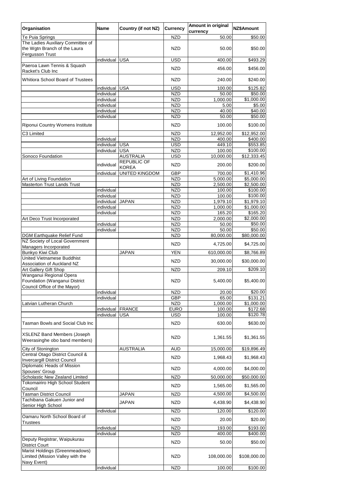| Organisation                                                                                | <b>Name</b>              | <b>Country (if not NZ)</b>         | <b>Currency</b>           | <b>Amount in original</b><br>currency | NZ\$Amount               |
|---------------------------------------------------------------------------------------------|--------------------------|------------------------------------|---------------------------|---------------------------------------|--------------------------|
| Te Puia Springs                                                                             |                          |                                    | <b>NZD</b>                | 50.00                                 | \$50.00                  |
| The Ladies Auxiliary Committee of<br>the Wgtn Branch of the Laura<br><b>Fergusson Trust</b> |                          |                                    | <b>NZD</b>                | 50.00                                 | \$50.00                  |
|                                                                                             | individual               | <b>USA</b>                         | <b>USD</b>                | 400.00                                | \$493.29                 |
| Paeroa Lawn Tennis & Squash<br>Racket's Club Inc                                            |                          |                                    | <b>NZD</b>                | 456.00                                | \$456.00                 |
| <b>Whitiora School Board of Trustees</b>                                                    |                          |                                    | <b>NZD</b>                | 240.00                                | \$240.00                 |
|                                                                                             | individual<br>individual | <b>USA</b>                         | <b>USD</b><br><b>NZD</b>  | 100.00<br>50.00                       | \$125.82<br>\$50.00      |
|                                                                                             | individual               |                                    | <b>NZD</b>                | 1,000.00                              | \$1,000.00               |
|                                                                                             | individual               |                                    | <b>NZD</b>                | 5.00                                  | \$5.00                   |
|                                                                                             | individual               |                                    | <b>NZD</b>                | 40.00                                 | \$40.00                  |
|                                                                                             | individual               |                                    | <b>NZD</b>                | 50.00                                 | \$50.00                  |
| Riponui Country Womens Institute                                                            |                          |                                    | <b>NZD</b>                | 100.00                                | \$100.00                 |
| C3 Limited                                                                                  | individual               |                                    | <b>NZD</b><br><b>NZD</b>  | 12,952.00<br>400.00                   | \$12,952.00<br>\$400.00  |
|                                                                                             | individual               | <b>USA</b>                         | <b>USD</b>                | 449.10                                | \$553.85                 |
|                                                                                             | individual               | <b>USA</b>                         | <b>NZD</b>                | 100.00                                | \$100.00                 |
| Sonoco Foundation                                                                           |                          | <b>AUSTRALIA</b>                   | <b>USD</b>                | 10,000.00                             | \$12,333.45              |
|                                                                                             | individual               | <b>REPUBLIC OF</b><br><b>KOREA</b> | <b>NZD</b>                | 200.00                                | \$200.00                 |
|                                                                                             | individual               | <b>UNITED KINGDOM</b>              | <b>GBP</b>                | 700.00                                | \$1,410.96               |
| Art of Living Foundation<br><b>Masterton Trust Lands Trust</b>                              |                          |                                    | <b>NZD</b><br><b>NZD</b>  | 5,000.00<br>2,500.00                  | \$5,000.00<br>\$2,500.00 |
|                                                                                             | individual               |                                    | <b>NZD</b>                | 100.00                                | \$100.00                 |
|                                                                                             | individual               |                                    | <b>NZD</b>                | 100.00                                | \$100.00                 |
|                                                                                             | individual               | <b>JAPAN</b>                       | <b>NZD</b>                | 1,979.10                              | \$1,979.10               |
|                                                                                             | individual<br>individual |                                    | <b>NZD</b><br><b>NZD</b>  | 1,000.00<br>165.20                    | \$1,000.00<br>\$165.20   |
| Art Deco Trust Incorporated                                                                 |                          |                                    | <b>NZD</b>                | 2,000.00                              | \$2,000.00               |
|                                                                                             | individual               |                                    | <b>NZD</b>                | 50.00                                 | \$50.00                  |
|                                                                                             | individual               |                                    | <b>NZD</b>                | 50.00                                 | \$50.00                  |
| <b>DGM Earthquake Relief Fund</b>                                                           |                          |                                    | <b>NZD</b>                | 80,000.00                             | \$80,000.00              |
| NZ Society of Local Government<br>Managers Incorporated                                     |                          |                                    | <b>NZD</b>                | 4,725.00                              | \$4,725.00               |
| <b>Bunkyo Kiwi Club</b><br><b>United Vietnamese Buddhist</b>                                |                          | <b>JAPAN</b>                       | <b>YEN</b>                | 610,000.00                            | \$8,766.89               |
| Association of Auckland NZ                                                                  |                          |                                    | <b>NZD</b>                | 30,000.00                             | \$30,000.00              |
| Art Gallery Gift Shop                                                                       |                          |                                    | <b>NZD</b>                | 209.10                                | \$209.10                 |
| Wanganui Regional Opera<br>Foundation (Wanganui District<br>Council Office of the Mayor)    |                          |                                    | <b>NZD</b>                | 5,400.00                              | \$5,400.00               |
|                                                                                             | individual               |                                    | <b>NZD</b>                | 20.00                                 | \$20.00                  |
|                                                                                             | individual               |                                    | <b>GBP</b>                | 65.00                                 | \$131.21                 |
| Latvian Lutheran Church                                                                     |                          |                                    | <b>NZD</b>                | 1,000.00                              | \$1,000.00               |
|                                                                                             | individual<br>individual | <b>FRANCE</b><br><b>USA</b>        | <b>EURO</b><br><b>USD</b> | 100.00<br>100.00                      | \$172.68<br>\$120.78     |
|                                                                                             |                          |                                    | <b>NZD</b>                | 630.00                                |                          |
| <b>Tasman Bowls and Social Club Inc</b>                                                     |                          |                                    |                           |                                       | \$630.00                 |
| <b>XSLENZ Band Members (Joseph</b><br>Weerasinghe obo band members)                         |                          |                                    | <b>NZD</b>                | 1,361.55                              | \$1,361.55               |
| City of Stonington                                                                          |                          | <b>AUSTRALIA</b>                   | <b>AUD</b>                | 15,000.00                             | \$19,896.49              |
| Central Otago District Council &<br><b>Invercargill District Council</b>                    |                          |                                    | <b>NZD</b>                | 1,968.43                              | \$1,968.43               |
| Diplomatic Heads of Mission<br>Spouses' Group                                               |                          |                                    | <b>NZD</b>                | 4,000.00                              | \$4,000.00               |
| <b>Scholastic New Zealand Limited</b>                                                       |                          |                                    | <b>NZD</b>                | 50,000.00                             | \$50,000.00              |
| <b>Tokomairiro High School Student</b>                                                      |                          |                                    | <b>NZD</b>                | 1,565.00                              | \$1,565.00               |
| Council<br><b>Tasman District Council</b>                                                   |                          | <b>JAPAN</b>                       | <b>NZD</b>                | 4,500.00                              | \$4,500.00               |
| Tachibana Gakuen Junior and                                                                 |                          | <b>JAPAN</b>                       | <b>NZD</b>                | 4,438.90                              | \$4,438.90               |
| Senior High School                                                                          | individual               |                                    | <b>NZD</b>                | 120.00                                | \$120.00                 |
| Oamaru North School Board of                                                                |                          |                                    | <b>NZD</b>                | 20.00                                 | \$20.00                  |
| <b>Trustees</b>                                                                             |                          |                                    |                           |                                       |                          |
|                                                                                             | individual<br>individual |                                    | <b>NZD</b><br><b>NZD</b>  | 193.00<br>400.00                      | \$193.00<br>\$400.00     |
| Deputy Registrar, Waipukurau<br><b>District Court</b>                                       |                          |                                    | <b>NZD</b>                | 50.00                                 | \$50.00                  |
| Marist Holdings (Greenmeadows)<br>Limited (Mission Valley with the                          |                          |                                    | <b>NZD</b>                | 108,000.00                            | \$108,000.00             |
| Navy Event)                                                                                 | individual               |                                    | <b>NZD</b>                | 100.00                                | \$100.00                 |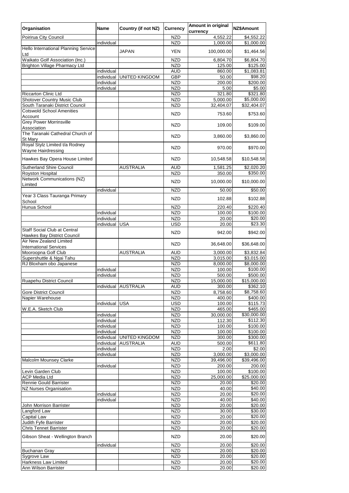| Organisation                                                              | <b>Name</b>              | <b>Country (if not NZ)</b> | <b>Currency</b>          | <b>Amount in original</b><br>currency | NZ\$Amount                        |
|---------------------------------------------------------------------------|--------------------------|----------------------------|--------------------------|---------------------------------------|-----------------------------------|
| Poirirua City Council                                                     |                          |                            | <b>NZD</b>               | 4,552.22                              | \$4,552.22                        |
|                                                                           | individual               |                            | <b>NZD</b>               | 1,000.00                              | \$1,000.00                        |
| Hello International Planning Service<br>Ltd                               |                          | <b>JAPAN</b>               | <b>YEN</b>               | 100,000.00                            | \$1,464.56                        |
| Waikato Golf Association (Inc.)                                           |                          |                            | <b>NZD</b>               | 6,804.70                              | \$6,804.70                        |
| <b>Brighton Village Pharmacy Ltd</b>                                      | individual               |                            | <b>NZD</b><br><b>AUD</b> | 125.00<br>860.00                      | \$125.00<br>$\overline{1,083.81}$ |
|                                                                           | individual               | <b>UNITED KINGDOM</b>      | <b>GBP</b>               | 50.00                                 | \$98.20                           |
|                                                                           | individual               |                            | <b>NZD</b>               | 200.00                                | \$200.00                          |
|                                                                           | individual               |                            | <b>NZD</b>               | 5.00                                  | \$5.00                            |
| <b>Riccarton Clinic Ltd</b>                                               |                          |                            | <b>NZD</b>               | 321.80                                | \$321.80                          |
| <b>Shotover Country Music Club</b>                                        |                          |                            | <b>NZD</b>               | 5,000.00                              | \$5,000.00                        |
| South Taranaki District Council                                           |                          |                            | <b>NZD</b>               | 32,404.07                             | \$32,404.07                       |
| <b>Cotswold School Amenities</b><br>Account                               |                          |                            | <b>NZD</b>               | 753.60                                | \$753.60                          |
| <b>Grey Power Morrinsville</b><br>Association                             |                          |                            | <b>NZD</b>               | 109.00                                | \$109.00                          |
| The Taranaki Cathedral Church of<br>St Mary                               |                          |                            | <b>NZD</b>               | 3,860.00                              | \$3,860.00                        |
| Royal Stylz Limited t/a Rodney                                            |                          |                            | <b>NZD</b>               | 970.00                                | \$970.00                          |
| <b>Wayne Hairdressing</b><br>Hawkes Bay Opera House Limited               |                          |                            | <b>NZD</b>               | 10,548.58                             | \$10,548.58                       |
| <b>Sutherland Shire Council</b>                                           |                          | <b>AUSTRALIA</b>           | <b>AUD</b>               | 1,581.25                              | \$2,020.20                        |
| Royston Hospital                                                          |                          |                            | <b>NZD</b>               | 350.00                                | \$350.00                          |
| <b>Network Communications (NZ)</b><br>Limited                             |                          |                            | <b>NZD</b>               | 10,000.00                             | \$10,000.00                       |
| Year 3 Class Tauranga Primary                                             | individual               |                            | <b>NZD</b>               | 50.00                                 | \$50.00                           |
| School<br>Hunua School                                                    |                          |                            | <b>NZD</b><br><b>NZD</b> | 102.88<br>220.40                      | \$102.88<br>\$220.40              |
|                                                                           | individual               |                            | <b>NZD</b>               | 100.00                                | \$100.00                          |
|                                                                           | individual               |                            | <b>NZD</b>               | 20.00                                 | \$20.00                           |
|                                                                           | individual               | <b>USA</b>                 | <b>USD</b>               | 20.00                                 | \$23.30                           |
| <b>Staff Social Club at Central</b><br><b>Hawkes Bay District Council</b> |                          |                            | <b>NZD</b>               | 942.00                                | \$942.00                          |
| Air New Zealand Limited<br><b>International Services</b>                  |                          |                            | <b>NZD</b>               | 36,648.00                             | \$36,648.00                       |
| Mooroopna Golf Club                                                       |                          | <b>AUSTRALIA</b>           | <b>AUD</b>               | 3,000.00                              | \$3,832.84                        |
| Supershuttle & Ngai Tahu                                                  |                          |                            | <b>NZD</b>               | 3,015.00                              | \$3,015.00                        |
| RJ Bloxham obo Japanese                                                   |                          |                            | <b>NZD</b>               | 8,000.00                              | \$8,000.00                        |
|                                                                           | individual               |                            | <b>NZD</b>               | 100.00                                | \$100.00                          |
|                                                                           | individual               |                            | <b>NZD</b>               | 500.00                                | \$500.00                          |
| Ruapehu District Council                                                  | individual               | <b>AUSTRALIA</b>           | <b>NZD</b><br><b>AUD</b> | 15,000.00<br>300.00                   | \$15,000.00<br>\$362.10           |
| <b>Gore District Council</b>                                              |                          |                            | <b>NZD</b>               | 8,758.60                              | \$8,758.60                        |
| Napier Warehouse                                                          |                          |                            | <b>NZD</b>               | 400.00                                | \$400.00                          |
|                                                                           | individual               | <b>USA</b>                 | <b>USD</b>               | 100.00                                | \$115.73                          |
| W.E.A. Sketch Club                                                        |                          |                            | <b>NZD</b>               | 465.00                                | \$465.00                          |
|                                                                           | individual               |                            | <b>NZD</b>               | 30,000.00                             | \$30,000.00                       |
|                                                                           | individual               |                            | <b>NZD</b>               | 112.30                                | \$112.30                          |
|                                                                           | individual               |                            | <b>NZD</b>               | 100.00                                | \$100.00                          |
|                                                                           | individual               |                            | <b>NZD</b>               | 100.00                                | \$100.00                          |
|                                                                           | individual               | <b>UNITED KINGDOM</b>      | <b>NZD</b>               | 300.00                                | \$300.00                          |
|                                                                           | individual<br>individual | <b>AUSTRALIA</b>           | <b>AUD</b><br><b>NZD</b> | 500.00<br>2.00                        | \$611.80<br>\$2.00                |
|                                                                           | individual               |                            | <b>NZD</b>               | 3,000.00                              | \$3,000.00                        |
| <b>Malcolm Mounsey Clarke</b>                                             |                          |                            | <b>NZD</b>               | 39,496.00                             | \$39,496.00                       |
|                                                                           | individual               |                            | <b>NZD</b>               | 200.00                                | 200.00                            |
| Levin Garden Club                                                         |                          |                            | <b>NZD</b>               | 100.00                                | \$100.00                          |
| <b>ACP Media Ltd</b>                                                      |                          |                            | <b>NZD</b>               | 25,000.00                             | \$25,000.00                       |
| <b>Rennie Gould Barrister</b>                                             |                          |                            | <b>NZD</b>               | 20.00                                 | \$20.00                           |
| NZ Nurses Organisation                                                    |                          |                            | <b>NZD</b>               | 40.00                                 | \$40.00                           |
|                                                                           | individual               |                            | <b>NZD</b>               | 20.00                                 | \$20.00                           |
|                                                                           | individual               |                            | <b>NZD</b>               | 40.00                                 | \$40.00<br>\$20.00                |
| John Morrison Barrister<br>Langford Law                                   |                          |                            | <b>NZD</b><br><b>NZD</b> | 20.00<br>30.00                        | \$30.00                           |
| <b>Capital Law</b>                                                        |                          |                            | <b>NZD</b>               | 20.00                                 | \$20.00                           |
| Judith Fyfe Barrister                                                     |                          |                            | <b>NZD</b>               | 20.00                                 | \$20.00                           |
| <b>Chris Tennet Barrister</b>                                             |                          |                            | <b>NZD</b>               | 20.00                                 | \$20.00                           |
| Gibson Sheat - Wellington Branch                                          |                          |                            | <b>NZD</b>               | 20.00                                 | \$20.00                           |
|                                                                           | individual               |                            | <b>NZD</b>               | 20.00                                 | \$20.00<br>\$20.00                |
| <b>Buchanan Gray</b><br>Sygrove Law                                       |                          |                            | <b>NZD</b><br><b>NZD</b> | 20.00<br>20.00                        | \$20.00                           |
| <b>Harkness Law Limited</b>                                               |                          |                            | <b>NZD</b>               | 20.00                                 | \$20.00                           |
| Ann Wilson Barrister                                                      |                          |                            | <b>NZD</b>               | 20.00                                 | \$20.00                           |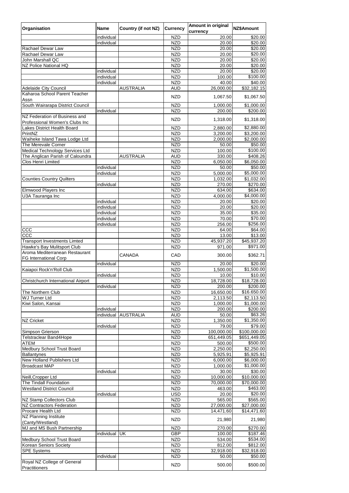| Organisation                           | <b>Name</b> | <b>Country (if not NZ)</b> | <b>Currency</b> | <b>Amount in original</b><br>currency | NZ\$Amount   |
|----------------------------------------|-------------|----------------------------|-----------------|---------------------------------------|--------------|
|                                        | individual  |                            | <b>NZD</b>      | 20.00                                 | \$20.00      |
|                                        | individual  |                            | <b>NZD</b>      | 20.00                                 | \$20.00      |
| Rachael Dewar Law                      |             |                            | <b>NZD</b>      | 20.00                                 | \$20.00      |
| <b>Rachael Dewar Law</b>               |             |                            | <b>NZD</b>      | 20.00                                 | \$20.00      |
| John Marshall QC                       |             |                            | <b>NZD</b>      | 20.00                                 | \$20.00      |
| NZ Police National HQ                  |             |                            | <b>NZD</b>      | 20.00                                 | \$20.00      |
|                                        | individual  |                            | <b>NZD</b>      | 20.00                                 | \$20.00      |
|                                        | individual  |                            | <b>NZD</b>      | 100.00                                | \$100.00     |
|                                        | individual  |                            | <b>NZD</b>      | 40.00                                 | \$40.00      |
| <b>Adelaide City Council</b>           |             | <b>AUSTRALIA</b>           | <b>AUD</b>      | 26,000.00                             | \$32,182.15  |
| Kaharoa School Parent Teacher          |             |                            | <b>NZD</b>      | 1,067.50                              | \$1,067.50   |
| Assn                                   |             |                            |                 |                                       |              |
| South Wairarapa District Council       |             |                            | <b>NZD</b>      | 1,000.00                              | \$1,000.00   |
|                                        | individual  |                            | <b>NZD</b>      | 200.00                                | \$200.00     |
| NZ Federation of Business and          |             |                            | <b>NZD</b>      | 1,318.00                              | \$1,318.00   |
| Professional Women's Clubs Inc         |             |                            |                 |                                       |              |
| Lakes District Health Board            |             |                            | <b>NZD</b>      | 2,880.00                              | \$2,880.00   |
| PrintNZ                                |             |                            | <b>NZD</b>      | 3,200.00                              | \$3,200.00   |
| Waiheke Island Tawa Lodge Ltd          |             |                            | <b>NZD</b>      | 2,000.00                              | \$2,000.00   |
| <b>The Merevale Corner</b>             |             |                            | <b>NZD</b>      | 50.00                                 | \$50.00      |
| <b>Medical Technology Services Ltd</b> |             |                            | <b>NZD</b>      | 100.00                                | \$100.00     |
| The Anglican Parish of Caloundra       |             | <b>AUSTRALIA</b>           | <b>AUD</b>      | 330.00                                | \$408.26     |
| <b>Clos Henri Limited</b>              |             |                            | <b>NZD</b>      | 6,050.00                              | \$6,050.00   |
|                                        | individual  |                            | <b>NZD</b>      | 50.00                                 | \$50.00      |
|                                        | individual  |                            | <b>NZD</b>      | 5,000.00                              | \$5,000.00   |
| <b>Counties Country Quilters</b>       |             |                            | <b>NZD</b>      | 1,032.00                              | \$1,032.00   |
|                                        | individual  |                            | <b>NZD</b>      | 270.00                                | \$270.00     |
| Elmwood Players Inc                    |             |                            | <b>NZD</b>      | 634.00                                | \$634.00     |
| U3A Tauranga Inc                       |             |                            | <b>NZD</b>      | 4,000.00                              | \$4,000.00   |
|                                        | individual  |                            | <b>NZD</b>      | 20.00                                 | \$20.00      |
|                                        | individual  |                            | <b>NZD</b>      | 20.00                                 | \$20.00      |
|                                        | individual  |                            | <b>NZD</b>      | 35.00                                 | \$35.00      |
|                                        | individual  |                            | <b>NZD</b>      | 70.00                                 | \$70.00      |
|                                        | individual  |                            | <b>NZD</b>      | 256.00                                | \$256.00     |
| CCC                                    |             |                            | <b>NZD</b>      | 64.00                                 | \$64.00      |
| CCC                                    |             |                            | <b>NZD</b>      | 13.00                                 | \$13.00      |
| <b>Transport Investments Limted</b>    |             |                            | <b>NZD</b>      | 45,937.20                             | \$45,937.20  |
| Hawke's Bay Mulitsport Club            |             |                            | <b>NZD</b>      | 971.00                                | \$971.00     |
| Aroma Mediterranean Restaurant         |             | <b>CANADA</b>              |                 | 300.00                                |              |
| <b>FG International Corp</b>           |             |                            | CAD             |                                       | \$362.71     |
|                                        | individual  |                            | <b>NZD</b>      | 20.00                                 | \$20.00      |
| Kaiapoi Rock'n'Roll Club               |             |                            | <b>NZD</b>      | 1,500.00                              | \$1,500.00   |
|                                        | individual  |                            | <b>NZD</b>      | 10.00                                 | \$10.00      |
| Christchurch International Airport     |             |                            | <b>NZD</b>      | 18,728.00                             | \$18,728.00  |
|                                        | individual  |                            | <b>NZD</b>      | 200.00                                | \$200.00     |
| <b>The Northern Club</b>               |             |                            | <b>NZD</b>      | 16,650.00                             | \$16.650.00  |
| <b>WJ Turner Ltd</b>                   |             |                            | <b>NZD</b>      | 2,113.50                              | \$2,113.50   |
| Kiwi Salon, Kansai                     |             |                            | <b>NZD</b>      | 1,000.00                              | \$1,000.00   |
|                                        | individual  |                            | <b>NZD</b>      | 200.00                                | \$200.00     |
|                                        | individual  | <b>AUSTRALIA</b>           | <b>AUD</b>      | 50.00                                 | \$63.26      |
| <b>NZ Cricket</b>                      |             |                            | <b>NZD</b>      | 1,350.00                              | \$1,350.00   |
|                                        | individual  |                            | <b>NZD</b>      | 79.00                                 | \$79.00      |
| Simpson Grierson                       |             |                            | <b>NZD</b>      | 100,000.00                            | \$100,000.00 |
| <b>Telstraclear Band4Hope</b>          |             |                            | <b>NZD</b>      | 651,449.05                            | \$651,449.05 |
| <b>ATEM</b>                            |             |                            | <b>NZD</b>      | 500.00                                | \$500.00     |
| Medbury School Trust Board             |             |                            | <b>NZD</b>      | 2,250.00                              | \$2,250.00   |
| <b>Ballantynes</b>                     |             |                            | <b>NZD</b>      | 5,925.91                              | \$5,925.91   |
| <b>New Holland Publishers Ltd</b>      |             |                            | <b>NZD</b>      | 6,000.00                              | \$6,000.00   |
| <b>Broadcast MAP</b>                   |             |                            | <b>NZD</b>      | 1,000.00                              | \$1,000.00   |
|                                        | individual  |                            | <b>NZD</b>      | 30.00                                 | \$30.00      |
| Neill, Cropper Ltd                     |             |                            | <b>NZD</b>      | 10,000.00                             | \$10,000.00  |
| The Tindall Foundation                 |             |                            | <b>NZD</b>      | 70,000.00                             | \$70,000.00  |
| <b>Westland District Council</b>       |             |                            | <b>NZD</b>      | 463.00                                | \$463.00     |
|                                        | individual  |                            | USD             | 20.00                                 | \$20.00      |
| NZ Stamp Collectors Club               |             |                            | <b>NZD</b>      | 565.00                                | \$565.00     |
| <b>NZ Contractors Federation</b>       |             |                            | <b>NZD</b>      | 27,000.00                             | \$27,000.00  |
| <b>Procare Health Ltd</b>              |             |                            | <b>NZD</b>      | 14,471.60                             | \$14,471.60  |
| NZ Planning Institute                  |             |                            |                 |                                       |              |
| (Canty/Westland)                       |             |                            | <b>NZD</b>      | 21,980                                | 21,980       |
| MJ and MS Bush Partnership             |             |                            | <b>NZD</b>      | 270.00                                | \$270.00     |
|                                        | individual  | <b>UK</b>                  | <b>GBP</b>      | 100.00                                | \$187.46     |
| Medbury School Trust Board             |             |                            | <b>NZD</b>      | 534.00                                | \$534.00     |
| <b>Korean Seniors Society</b>          |             |                            | <b>NZD</b>      | 812.00                                | \$812.00     |
| <b>SPE Systems</b>                     |             |                            | <b>NZD</b>      | 32,918.00                             | \$32,918.00  |
|                                        | individual  |                            | <b>NZD</b>      | 50.00                                 | \$50.00      |
| Royal NZ College of General            |             |                            |                 |                                       |              |
| Practitioners                          |             |                            | <b>NZD</b>      | 500.00                                | \$500.00     |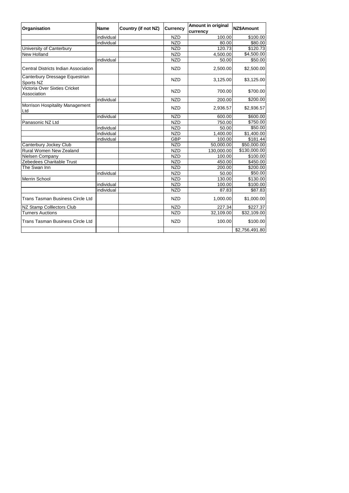| Organisation                                  | <b>Name</b> | <b>Country (if not NZ)</b> | <b>Currency</b> | <b>Amount in original</b><br>currency | <b>NZ\$Amount</b>       |
|-----------------------------------------------|-------------|----------------------------|-----------------|---------------------------------------|-------------------------|
|                                               | individual  |                            | <b>NZD</b>      | 100.00                                | \$100.00                |
|                                               | individual  |                            | <b>NZD</b>      | 80.00                                 | \$80.00                 |
| University of Canterbury                      |             |                            | <b>NZD</b>      | 120.73                                | \$120.73                |
| New Holland                                   |             |                            | <b>NZD</b>      | 4,500.00                              | \$4,500.00              |
|                                               | individual  |                            | <b>NZD</b>      | 50.00                                 | \$50.00                 |
| Central Districts Indian Association          |             |                            | <b>NZD</b>      | 2,500.00                              | \$2,500.00              |
| Canterbury Dressage Equestrian<br>Sports NZ   |             |                            | <b>NZD</b>      | 3,125.00                              | \$3,125.00              |
| Victoria Over Sixties Cricket<br>Association  |             |                            | <b>NZD</b>      | 700.00                                | \$700.00                |
|                                               | individual  |                            | <b>NZD</b>      | 200.00                                | \$200.00                |
| <b>Morrison Hospitality Management</b><br>Ltd |             |                            | <b>NZD</b>      | 2,936.57                              | \$2,936.57              |
|                                               | individual  |                            | <b>NZD</b>      | 600.00                                | \$600.00                |
| Panasonic NZ Ltd                              |             |                            | <b>NZD</b>      | 750.00                                | \$750.00                |
|                                               | individual  |                            | <b>NZD</b>      | 50.00                                 | \$50.00                 |
|                                               | individual  |                            | <b>NZD</b>      | 1,400.00                              | \$1,400.00              |
|                                               | individual  |                            | <b>GBP</b>      | 100.00                                | \$181.44                |
| Canterbury Jockey Club                        |             |                            | <b>NZD</b>      | 50,000.00                             | \$50,000.00             |
| Rural Women New Zealand                       |             |                            | <b>NZD</b>      | 130,000.00                            | \$130,000.00            |
| Nielsen Company                               |             |                            | <b>NZD</b>      | 100.00                                | \$100.00                |
| Zebedees Charitable Trust                     |             |                            | <b>NZD</b>      | 450.00                                | \$450.00                |
| The Swan Inn                                  |             |                            | <b>NZD</b>      | 200.00                                | \$200.00                |
|                                               | individual  |                            | <b>NZD</b>      | 50.00                                 | \$50.00                 |
| <b>Merrin School</b>                          |             |                            | <b>NZD</b>      | 130.00                                | \$130.00                |
|                                               | individual  |                            | <b>NZD</b>      | 100.00                                | \$100.00                |
|                                               | individual  |                            | <b>NZD</b>      | 87.83                                 | \$87.83                 |
| <b>Trans Tasman Business Circle Ltd</b>       |             |                            | <b>NZD</b>      | 1,000.00                              | \$1,000.00              |
| NZ Stamp Colllectors Club                     |             |                            | <b>NZD</b>      | 227.34                                | \$227.37                |
| <b>Turners Auctions</b>                       |             |                            | <b>NZD</b>      | 32,109.00                             | $\overline{$}32,109.00$ |
| <b>Trans Tasman Business Circle Ltd</b>       |             |                            | <b>NZD</b>      | 100.00                                | \$100.00                |
|                                               |             |                            |                 |                                       | \$2,756,491.80          |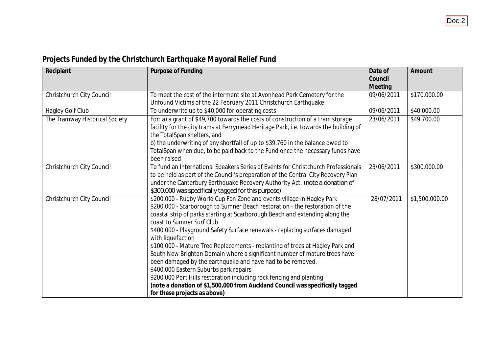| Recipient                      | Purpose of Funding                                                                                                                                                                                                                                                                                                                                                                                                                                                                                                                                                                                                                                                                                                                                                                                                                     | Date of<br>Council<br>Meeting | Amount         |
|--------------------------------|----------------------------------------------------------------------------------------------------------------------------------------------------------------------------------------------------------------------------------------------------------------------------------------------------------------------------------------------------------------------------------------------------------------------------------------------------------------------------------------------------------------------------------------------------------------------------------------------------------------------------------------------------------------------------------------------------------------------------------------------------------------------------------------------------------------------------------------|-------------------------------|----------------|
| Christchurch City Council      | To meet the cost of the interment site at Avonhead Park Cemetery for the<br>Unfound Victims of the 22 February 2011 Christchurch Earthquake                                                                                                                                                                                                                                                                                                                                                                                                                                                                                                                                                                                                                                                                                            | 09/06/2011                    | \$170,000.00   |
| Hagley Golf Club               | To underwrite up to \$40,000 for operating costs                                                                                                                                                                                                                                                                                                                                                                                                                                                                                                                                                                                                                                                                                                                                                                                       | 09/06/2011                    | \$40,000.00    |
| The Tramway Historical Society | For: a) a grant of \$49,700 towards the costs of construction of a tram storage<br>facility for the city trams at Ferrymead Heritage Park, i.e. towards the building of<br>the TotalSpan shelters, and<br>b) the underwriting of any shortfall of up to \$39,760 in the balance owed to<br>TotalSpan when due, to be paid back to the Fund once the necessary funds have<br>been raised                                                                                                                                                                                                                                                                                                                                                                                                                                                | 23/06/2011                    | \$49,700.00    |
| Christchurch City Council      | To fund an International Speakers Series of Events for Christchurch Professionals<br>to be held as part of the Council's preparation of the Central City Recovery Plan<br>under the Canterbury Earthquake Recovery Authority Act. (note a donation of<br>\$300,000 was specifically tagged for this purpose)                                                                                                                                                                                                                                                                                                                                                                                                                                                                                                                           | 23/06/2011                    | \$300,000.00   |
| Christchurch City Council      | \$200,000 - Rugby World Cup Fan Zone and events village in Hagley Park<br>\$200,000 - Scarborough to Sumner Beach restoration - the restoration of the<br>coastal strip of parks starting at Scarborough Beach and extending along the<br>coast to Sumner Surf Club<br>\$400,000 - Playground Safety Surface renewals - replacing surfaces damaged<br>with liquefaction<br>\$100,000 - Mature Tree Replacements - replanting of trees at Hagley Park and<br>South New Brighton Domain where a significant number of mature trees have<br>been damaged by the earthquake and have had to be removed.<br>\$400,000 Eastern Suburbs park repairs<br>\$200,000 Port Hills restoration including rock fencing and planting<br>(note a donation of \$1,500,000 from Auckland Council was specifically tagged<br>for these projects as above) | 28/07/2011                    | \$1,500,000.00 |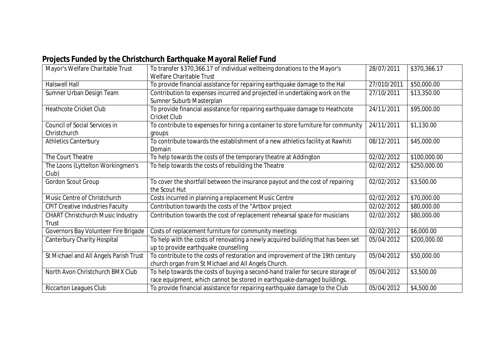| Mayor's Welfare Charitable Trust                     | To transfer \$370,366.17 of individual wellbeing donations to the Mayor's<br>Welfare Charitable Trust                                                      | 28/07/2011  | \$370,366.17 |
|------------------------------------------------------|------------------------------------------------------------------------------------------------------------------------------------------------------------|-------------|--------------|
| <b>Halswell Hall</b>                                 | To provide financial assistance for repairing earthquake damage to the Hal                                                                                 | 27/010/2011 | \$50,000.00  |
| Sumner Urban Design Team                             | Contribution to expenses incurred and projected in undertaking work on the<br>Sumner Suburb Masterplan                                                     | 27/10/2011  | \$13,350.00  |
| <b>Heathcote Cricket Club</b>                        | To provide financial assistance for repairing earthquake damage to Heathcote<br><b>Cricket Club</b>                                                        | 24/11/2011  | \$95,000.00  |
| <b>Council of Social Services in</b><br>Christchurch | To contribute to expenses for hiring a container to store furniture for community<br>groups                                                                | 24/11/2011  | \$1,130.00   |
| <b>Athletics Canterbury</b>                          | To contribute towards the establishment of a new athletics facility at Rawhiti<br>Domain                                                                   | 08/12/2011  | \$45,000.00  |
| The Court Theatre                                    | To help towards the costs of the temporary theatre at Addington                                                                                            | 02/02/2012  | \$100,000.00 |
| The Loons (Lyttelton Workingmen's<br>Club)           | To help towards the costs of rebuilding the Theatre                                                                                                        | 02/02/2012  | \$250,000.00 |
| Gordon Scout Group                                   | To cover the shortfall between the insurance payout and the cost of repairing<br>the Scout Hut                                                             | 02/02/2012  | \$3,500.00   |
| Music Centre of Christchurch                         | Costs incurred in planning a replacement Music Centre                                                                                                      | 02/02/2012  | \$70,000.00  |
| <b>CPIT Creative Industries Faculty</b>              | Contribution towards the costs of the "Artbox' project                                                                                                     | 02/02/2012  | \$80,000.00  |
| <b>CHART Christchurch Music Industry</b><br>Trust    | Contribution towards the cost of replacement rehearsal space for musicians                                                                                 | 02/02/2012  | \$80,000.00  |
| Governors Bay Volunteer Fire Brigade                 | Costs of replacement furniture for community meetings                                                                                                      | 02/02/2012  | \$6,000.00   |
| <b>Canterbury Charity Hospital</b>                   | To help with the costs of renovating a newly acquired building that has been set<br>up to provide earthquake counselling                                   | 05/04/2012  | \$200,000.00 |
| St Michael and All Angels Parish Trust               | To contribute to the costs of restoration and improvement of the 19th century<br>church organ from St Michael and All Angels Church.                       | 05/04/2012  | \$50,000.00  |
| North Avon Christchurch BMX Club                     | To help towards the costs of buying a second-hand trailer for secure storage of<br>race equipment, which cannot be stored in earthquake-damaged buildings. | 05/04/2012  | \$3,500.00   |
| <b>Riccarton Leagues Club</b>                        | To provide financial assistance for repairing earthquake damage to the Club                                                                                | 05/04/2012  | \$4,500.00   |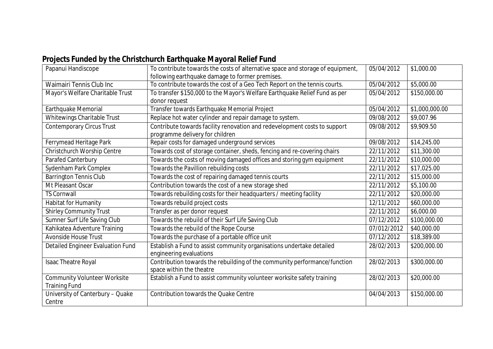| Papanui Handiscope                                          | To contribute towards the costs of alternative space and storage of equipment,<br>following earthquake damage to former premises. | 05/04/2012  | \$1,000.00     |
|-------------------------------------------------------------|-----------------------------------------------------------------------------------------------------------------------------------|-------------|----------------|
| <b>Waimairi Tennis Club Inc</b>                             | To contribute towards the cost of a Geo Tech Report on the tennis courts.                                                         | 05/04/2012  | \$5,000.00     |
| Mayor's Welfare Charitable Trust                            | To transfer \$150,000 to the Mayor's Welfare Earthquake Relief Fund as per                                                        | 05/04/2012  | \$150,000.00   |
|                                                             | donor request                                                                                                                     |             |                |
| Earthquake Memorial                                         | Transfer towards Earthquake Memorial Project                                                                                      | 05/04/2012  | \$1,000,000.00 |
| Whitewings Charitable Trust                                 | Replace hot water cylinder and repair damage to system.                                                                           | 09/08/2012  | \$9,007.96     |
| Contemporary Circus Trust                                   | Contribute towards facility renovation and redevelopment costs to support                                                         | 09/08/2012  | \$9,909.50     |
|                                                             | programme delivery for children                                                                                                   |             |                |
| Ferrymead Heritage Park                                     | Repair costs for damaged underground services                                                                                     | 09/08/2012  | \$14,245.00    |
| Christchurch Worship Centre                                 | Towards cost of storage container, sheds, fencing and re-covering chairs                                                          | 22/11/2012  | \$11,300.00    |
| Parafed Canterbury                                          | Towards the costs of moving damaged offices and storing gym equipment                                                             | 22/11/2012  | \$10,000.00    |
| Sydenham Park Complex                                       | Towards the Pavillion rebuilding costs                                                                                            | 22/11/2012  | \$17,025.00    |
| <b>Barrington Tennis Club</b>                               | Towards the cost of repairing damaged tennis courts                                                                               | 22/11/2012  | \$15,000.00    |
| Mt Pleasant Oscar                                           | Contribution towards the cost of a new storage shed                                                                               | 22/11/2012  | \$5,100.00     |
| <b>TS Cornwall</b>                                          | Towards rebuilding costs for their headquarters / meeting facility                                                                | 22/11/2012  | \$20,000.00    |
| Habitat for Humanity                                        | Towards rebuild project costs                                                                                                     | 12/11/2012  | \$60,000.00    |
| <b>Shirley Community Trust</b>                              | Transfer as per donor request                                                                                                     | 22/11/2012  | \$6,000.00     |
| Sumner Surf Life Saving Club                                | Towards the rebuild of their Surf Life Saving Club                                                                                | 07/12/2012  | \$100,000.00   |
| Kahikatea Adventure Training                                | Towards the rebuild of the Rope Course                                                                                            | 07/012/2012 | \$40,000.00    |
| <b>Avonside House Trust</b>                                 | Towards the purchase of a portable office unit                                                                                    | 07/12/2012  | \$18,389.00    |
| Detailed Engineer Evaluation Fund                           | Establish a Fund to assist community organisations undertake detailed<br>engineering evaluations                                  | 28/02/2013  | \$200,000.00   |
| Isaac Theatre Royal                                         | Contribution towards the rebuilding of the community performance/function<br>space within the theatre                             | 28/02/2013  | \$300,000.00   |
| <b>Community Volunteer Worksite</b><br><b>Training Fund</b> | Establish a Fund to assist community volunteer worksite safety training                                                           | 28/02/2013  | \$20,000.00    |
| University of Canterbury - Quake<br>Centre                  | <b>Contribution towards the Quake Centre</b>                                                                                      | 04/04/2013  | \$150,000.00   |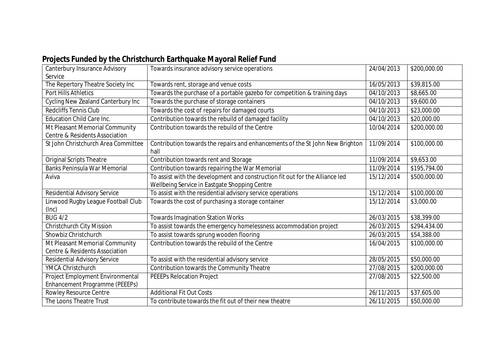| Canterbury Insurance Advisory       | Towards insurance advisory service operations                                         | 24/04/2013 | \$200,000.00 |
|-------------------------------------|---------------------------------------------------------------------------------------|------------|--------------|
| Service                             |                                                                                       |            |              |
| The Repertory Theatre Society Inc   | Towards rent, storage and venue costs                                                 | 16/05/2013 | \$39,815.00  |
| <b>Port Hills Athletics</b>         | Towards the purchase of a portable gazebo for competition & training days             | 04/10/2013 | \$8,665.00   |
| Cycling New Zealand Canterbury Inc  | Towards the purchase of storage containers                                            | 04/10/2013 | \$9,600.00   |
| <b>Redcliffs Tennis Club</b>        | Towards the cost of repairs for damaged courts                                        | 04/10/2013 | \$23,000.00  |
| <b>Education Child Care Inc.</b>    | Contribution towards the rebuild of damaged facility                                  | 04/10/2013 | \$20,000.00  |
| Mt Pleasant Memorial Community      | Contribution towards the rebuild of the Centre                                        | 10/04/2014 | \$200,000.00 |
| Centre & Residents Association      |                                                                                       |            |              |
| St John Christchurch Area Committee | Contribution towards the repairs and enhancements of the St John New Brighton<br>hall | 11/09/2014 | \$100,000.00 |
| <b>Original Scripts Theatre</b>     | Contribution towards rent and Storage                                                 | 11/09/2014 | \$9,653.00   |
| <b>Banks Peninsula War Memorial</b> | Contribution towards repairing the War Memorial                                       | 11/09/2014 | \$195,794.00 |
| Aviva                               | To assist with the development and construction fit out for the Alliance led          | 15/12/2014 | \$500,000.00 |
|                                     | Wellbeing Service in Eastgate Shopping Centre                                         |            |              |
| <b>Residential Advisory Service</b> | To assist with the residential advisory service operations                            | 15/12/2014 | \$100,000.00 |
| Linwood Rugby League Football Club  | Towards the cost of purchasing a storage container                                    | 15/12/2014 | \$3,000.00   |
| (Inc)                               |                                                                                       |            |              |
| <b>BUG 4/2</b>                      | <b>Towards Imagination Station Works</b>                                              | 26/03/2015 | \$38,399.00  |
| Christchurch City Mission           | To assist towards the emergency homelessness accommodation project                    | 26/03/2015 | \$294,434.00 |
| Showbiz Christchurch                | To assist towards sprung wooden flooring                                              | 26/03/2015 | \$54,388.00  |
| Mt Pleasant Memorial Community      | Contribution towards the rebuild of the Centre                                        | 16/04/2015 | \$100,000.00 |
| Centre & Residents Association      |                                                                                       |            |              |
| <b>Residential Advisory Service</b> | To assist with the residential advisory service                                       | 28/05/2015 | \$50,000.00  |
| YMCA Christchurch                   | Contribution towards the Community Theatre                                            | 27/08/2015 | \$200,000.00 |
| Project Employment Environmental    | PEEEPs Relocation Project                                                             | 27/08/2015 | \$22,500.00  |
| Enhancement Programme (PEEEPs)      |                                                                                       |            |              |
| Rowley Resource Centre              | <b>Additional Fit Out Costs</b>                                                       | 26/11/2015 | \$37,605.00  |
| The Loons Theatre Trust             | To contribute towards the fit out of their new theatre                                | 26/11/2015 | \$50,000.00  |